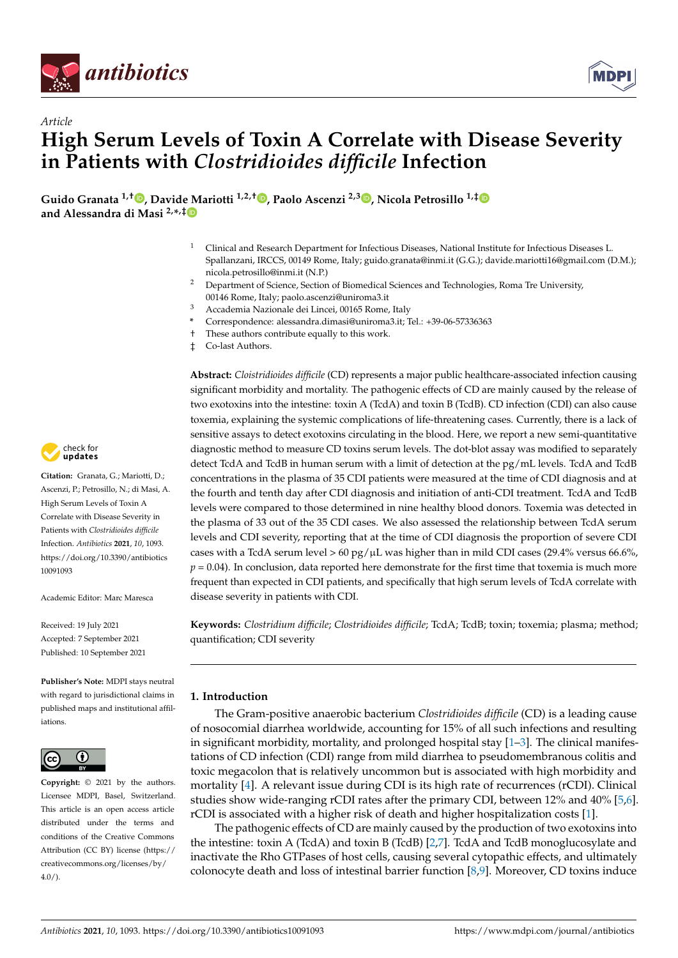



# *Article* **High Serum Levels of Toxin A Correlate with Disease Severity in Patients with** *Clostridioides difficile* **Infection**

**Guido Granata 1,† [,](https://orcid.org/0000-0001-5796-0545) David[e M](https://orcid.org/0000-0002-1122-8663)ariotti 1,2,† [,](https://orcid.org/0000-0002-7698-1103) Paolo Ascenzi 2,3 [,](https://orcid.org/0000-0002-6449-2150) Nicola Petrosillo 1,[‡](https://orcid.org/0000-0002-2585-7567) and Alessandra di Masi 2,\* ,‡**

- <sup>1</sup> Clinical and Research Department for Infectious Diseases, National Institute for Infectious Diseases L. Spallanzani, IRCCS, 00149 Rome, Italy; guido.granata@inmi.it (G.G.); davide.mariotti16@gmail.com (D.M.); nicola.petrosillo@inmi.it (N.P.)
- <sup>2</sup> Department of Science, Section of Biomedical Sciences and Technologies, Roma Tre University, 00146 Rome, Italy; paolo.ascenzi@uniroma3.it
- <sup>3</sup> Accademia Nazionale dei Lincei, 00165 Rome, Italy
- **\*** Correspondence: alessandra.dimasi@uniroma3.it; Tel.: +39-06-57336363
- † These authors contribute equally to this work.
- ‡ Co-last Authors.

**Abstract:** *Cloistridioides difficile* (CD) represents a major public healthcare-associated infection causing significant morbidity and mortality. The pathogenic effects of CD are mainly caused by the release of two exotoxins into the intestine: toxin A (TcdA) and toxin B (TcdB). CD infection (CDI) can also cause toxemia, explaining the systemic complications of life-threatening cases. Currently, there is a lack of sensitive assays to detect exotoxins circulating in the blood. Here, we report a new semi-quantitative diagnostic method to measure CD toxins serum levels. The dot-blot assay was modified to separately detect TcdA and TcdB in human serum with a limit of detection at the pg/mL levels. TcdA and TcdB concentrations in the plasma of 35 CDI patients were measured at the time of CDI diagnosis and at the fourth and tenth day after CDI diagnosis and initiation of anti-CDI treatment. TcdA and TcdB levels were compared to those determined in nine healthy blood donors. Toxemia was detected in the plasma of 33 out of the 35 CDI cases. We also assessed the relationship between TcdA serum levels and CDI severity, reporting that at the time of CDI diagnosis the proportion of severe CDI cases with a TcdA serum level  $> 60 \frac{\text{pg}}{\mu}$  was higher than in mild CDI cases (29.4% versus 66.6%,  $p = 0.04$ ). In conclusion, data reported here demonstrate for the first time that toxemia is much more frequent than expected in CDI patients, and specifically that high serum levels of TcdA correlate with disease severity in patients with CDI.

**Keywords:** *Clostridium difficile*; *Clostridioides difficile*; TcdA; TcdB; toxin; toxemia; plasma; method; quantification; CDI severity

### **1. Introduction**

The Gram-positive anaerobic bacterium *Clostridioides difficile* (CD) is a leading cause of nosocomial diarrhea worldwide, accounting for 15% of all such infections and resulting in significant morbidity, mortality, and prolonged hospital stay  $[1-3]$  $[1-3]$ . The clinical manifestations of CD infection (CDI) range from mild diarrhea to pseudomembranous colitis and toxic megacolon that is relatively uncommon but is associated with high morbidity and mortality [\[4\]](#page-8-2). A relevant issue during CDI is its high rate of recurrences (rCDI). Clinical studies show wide-ranging rCDI rates after the primary CDI, between 12% and 40% [\[5,](#page-8-3)[6\]](#page-8-4). rCDI is associated with a higher risk of death and higher hospitalization costs [\[1\]](#page-8-0).

The pathogenic effects of CD are mainly caused by the production of two exotoxins into the intestine: toxin A (TcdA) and toxin B (TcdB) [\[2](#page-8-5)[,7\]](#page-9-0). TcdA and TcdB monoglucosylate and inactivate the Rho GTPases of host cells, causing several cytopathic effects, and ultimately colonocyte death and loss of intestinal barrier function [\[8,](#page-9-1)[9\]](#page-9-2). Moreover, CD toxins induce



**Citation:** Granata, G.; Mariotti, D.; Ascenzi, P.; Petrosillo, N.; di Masi, A. High Serum Levels of Toxin A Correlate with Disease Severity in Patients with *Clostridioides difficile* Infection. *Antibiotics* **2021**, *10*, 1093. [https://doi.org/10.3390/antibiotics](https://doi.org/10.3390/antibiotics10091093) [10091093](https://doi.org/10.3390/antibiotics10091093)

Academic Editor: Marc Maresca

Received: 19 July 2021 Accepted: 7 September 2021 Published: 10 September 2021

**Publisher's Note:** MDPI stays neutral with regard to jurisdictional claims in published maps and institutional affiliations.



**Copyright:** © 2021 by the authors. Licensee MDPI, Basel, Switzerland. This article is an open access article distributed under the terms and conditions of the Creative Commons Attribution (CC BY) license (https:/[/](https://creativecommons.org/licenses/by/4.0/) [creativecommons.org/licenses/by/](https://creativecommons.org/licenses/by/4.0/)  $4.0/$ ).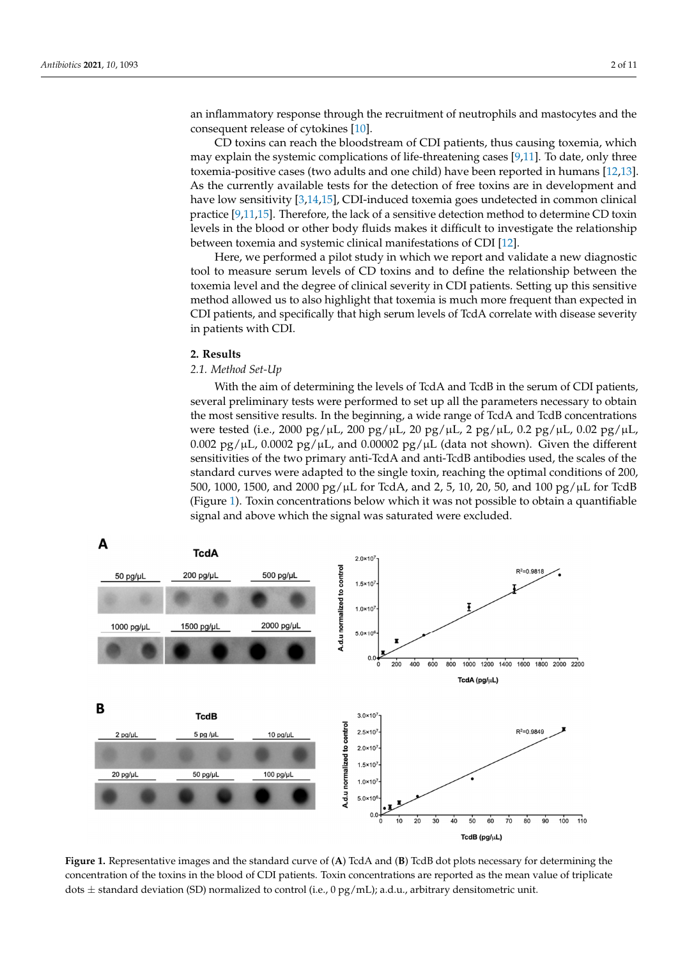an inflammatory response through the recruitment of neutrophils and mastocytes and the consequent release of cytokines [\[10\]](#page-9-3).  $\mathcal{L}$  to  $\mathcal{L}$  to  $\mathcal{L}$  to  $\mathcal{L}$  the bloodstream of CDI patients, thus causing the master just the bloods of  $\alpha$  the helings  $\{10\}$ 

effects, and ultimately colonocyte death and loss of intestinal barrier function [8,9].

CD toxins can reach the bloodstream of CDI patients, thus causing toxemia, which  $\overline{CD}$ the systemic complications of life-threatening cases [\[9,](#page-9-2)[11\]](#page-9-4). To date, only three may explain the systemic complications of life-threatening cases [9,11]. To date, only three toxemia-positive cases (two adults and one child) have been reported in humans [\[12,](#page-9-5)[13\]](#page-9-6). As the currently available tests for the detection of free toxins are in development and have low sensitivity [\[3](#page-8-1)[,14](#page-9-7)[,15\]](#page-9-8), CDI-induced toxemia goes undetected in common clinical practice [\[9](#page-9-2)[,11](#page-9-4)[,15\]](#page-9-8). Therefore, the lack of a sensitive detection method to determine CD toxin I evels in the blood or other body fluids makes it difficult to investigate the relationship between toxemia and systemic clinical manifestations of CDI  $[12]$ .

Here, we performed a pilot study in which we report and validate a new diagnostic tool to measure serum levels of CD toxins and to define the relationship between the toxemia level and the degree of clinical severity in CDI patients. Setting up this sensitive method allowed us to also highlight that toxemia is much more frequent than expected in CDI patients, and specifically that high serum levels of TcdA correlate with disease severity in patients with CDI.

## **2. Results** *2.1. Method Set-Up*

#### *2.1. Method Set-Up*  $W$  the aim of determining the levels of  $T$  and  $T$  and  $T$  and  $T$

With the aim of determining the levels of TcdA and TcdB in the serum of CDI patients, several preliminary tests were performed to set up all the parameters necessary to obtain the most sensitive results. In the beginning, a wide range of TcdA and TcdB concentrations were tested (i.e., 2000 pg/ $\mu$ L, 200 pg/ $\mu$ L, 20 pg/ $\mu$ L, 2 pg/ $\mu$ L, 0.2 pg/ $\mu$ L, 0.02 pg/ $\mu$ L, 0.002 pg/ $\mu$ L, 0.0002 pg/ $\mu$ L, and 0.00002 pg/ $\mu$ L (data not shown). Given the different sensitivities of the two primary anti-TcdA and anti-TcdB antibodies used, the scales of the sensitivities of the single to the single to the single sensitivities of the single sensitivities of 200, and the single sensitivi standard curves were adapted to the single toxin, reaching the optimal conditions of 200,<br>500, 1000, 1500, and 2000 pg/HL for TcdA, and 2, 5, 10, 20, 50, and 100 pg/HL for TcdB, and 100 pg/HL 500, 1000, 1500, and 2000 pg/ $\mu$ L for TcdA, and 2, 5, 10, 20, 50, and 100 pg/ $\mu$ L for TcdB (Figure [1\)](#page-1-0). Toxin concentrations below which it was not possible to obtain a quantifiable signal and above which the signal was saturated were excluded.

<span id="page-1-0"></span>

**Figure 1.** Representative images and the standard curve of (**A**) TcdA and (**B**) TcdB dot plots necessary for determining the concentration of the toxins in the blood of CDI patients. Toxin concentrations are reported as the mean value of triplicate dots  $\pm$  standard deviation (SD) normalized to control (i.e., 0 pg/mL); a.d.u., arbitrary densitometric unit.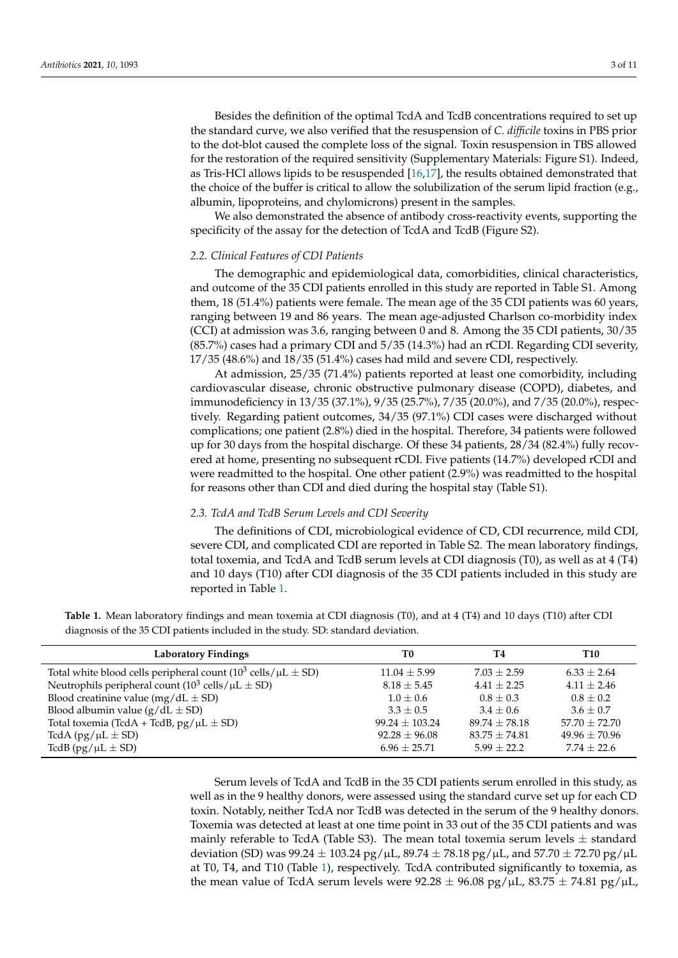Besides the definition of the optimal TcdA and TcdB concentrations required to set up the standard curve, we also verified that the resuspension of *C. difficile* toxins in PBS prior to the dot-blot caused the complete loss of the signal. Toxin resuspension in TBS allowed for the restoration of the required sensitivity (Supplementary Materials: Figure S1). Indeed, as Tris-HCl allows lipids to be resuspended [\[16,](#page-9-9)[17\]](#page-9-10), the results obtained demonstrated that the choice of the buffer is critical to allow the solubilization of the serum lipid fraction (e.g., albumin, lipoproteins, and chylomicrons) present in the samples.

We also demonstrated the absence of antibody cross-reactivity events, supporting the specificity of the assay for the detection of TcdA and TcdB (Figure S2).

#### *2.2. Clinical Features of CDI Patients*

The demographic and epidemiological data, comorbidities, clinical characteristics, and outcome of the 35 CDI patients enrolled in this study are reported in Table S1. Among them, 18 (51.4%) patients were female. The mean age of the 35 CDI patients was 60 years, ranging between 19 and 86 years. The mean age-adjusted Charlson co-morbidity index (CCI) at admission was 3.6, ranging between 0 and 8. Among the 35 CDI patients, 30/35 (85.7%) cases had a primary CDI and 5/35 (14.3%) had an rCDI. Regarding CDI severity, 17/35 (48.6%) and 18/35 (51.4%) cases had mild and severe CDI, respectively.

At admission, 25/35 (71.4%) patients reported at least one comorbidity, including cardiovascular disease, chronic obstructive pulmonary disease (COPD), diabetes, and immunodeficiency in 13/35 (37.1%), 9/35 (25.7%), 7/35 (20.0%), and 7/35 (20.0%), respectively. Regarding patient outcomes, 34/35 (97.1%) CDI cases were discharged without complications; one patient (2.8%) died in the hospital. Therefore, 34 patients were followed up for 30 days from the hospital discharge. Of these 34 patients, 28/34 (82.4%) fully recovered at home, presenting no subsequent rCDI. Five patients (14.7%) developed rCDI and were readmitted to the hospital. One other patient (2.9%) was readmitted to the hospital for reasons other than CDI and died during the hospital stay (Table S1).

#### *2.3. TcdA and TcdB Serum Levels and CDI Severity*

The definitions of CDI, microbiological evidence of CD, CDI recurrence, mild CDI, severe CDI, and complicated CDI are reported in Table S2. The mean laboratory findings, total toxemia, and TcdA and TcdB serum levels at CDI diagnosis (T0), as well as at 4 (T4) and 10 days (T10) after CDI diagnosis of the 35 CDI patients included in this study are reported in Table [1.](#page-2-0)

<span id="page-2-0"></span>**Table 1.** Mean laboratory findings and mean toxemia at CDI diagnosis (T0), and at 4 (T4) and 10 days (T10) after CDI diagnosis of the 35 CDI patients included in the study. SD: standard deviation.

| <b>Laboratory Findings</b>                                                                | T0                 | T4                | T10               |
|-------------------------------------------------------------------------------------------|--------------------|-------------------|-------------------|
| Total white blood cells peripheral count $(10^3 \text{ cells}/\mu\text{L} \pm \text{SD})$ | $11.04 \pm 5.99$   | $7.03 + 2.59$     | $6.33 \pm 2.64$   |
| Neutrophils peripheral count ( $10^3$ cells/ $\mu$ L $\pm$ SD)                            | $8.18 \pm 5.45$    | $4.41 \pm 2.25$   | $4.11 \pm 2.46$   |
| Blood creatinine value (mg/dL $\pm$ SD)                                                   | $1.0 \pm 0.6$      | $0.8 + 0.3$       | $0.8 + 0.2$       |
| Blood albumin value $(g/dL \pm SD)$                                                       | $3.3 + 0.5$        | $3.4 + 0.6$       | $3.6 + 0.7$       |
| Total toxemia (TcdA + TcdB, $pg/µL \pm SD$ )                                              | $99.24 \pm 103.24$ | $89.74 + 78.18$   | $57.70 \pm 72.70$ |
| TcdA $\frac{pg}{\mu L}$ ± SD)                                                             | $92.28 \pm 96.08$  | $83.75 \pm 74.81$ | $49.96 \pm 70.96$ |
| TcdB (pg/ $\mu L \pm SD$ )                                                                | $6.96 \pm 25.71$   | $5.99 + 22.2$     | $7.74 + 22.6$     |

Serum levels of TcdA and TcdB in the 35 CDI patients serum enrolled in this study, as well as in the 9 healthy donors, were assessed using the standard curve set up for each CD toxin. Notably, neither TcdA nor TcdB was detected in the serum of the 9 healthy donors. Toxemia was detected at least at one time point in 33 out of the 35 CDI patients and was mainly referable to TcdA (Table S3). The mean total toxemia serum levels  $\pm$  standard deviation (SD) was  $99.24 \pm 103.24$  pg/ $\mu$ L,  $89.74 \pm 78.18$  pg/ $\mu$ L, and  $57.70 \pm 72.70$  pg/ $\mu$ L at T0, T4, and T10 (Table [1\)](#page-2-0), respectively. TcdA contributed significantly to toxemia, as the mean value of TcdA serum levels were  $92.28 \pm 96.08$  pg/ $\mu$ L,  $83.75 \pm 74.81$  pg/ $\mu$ L,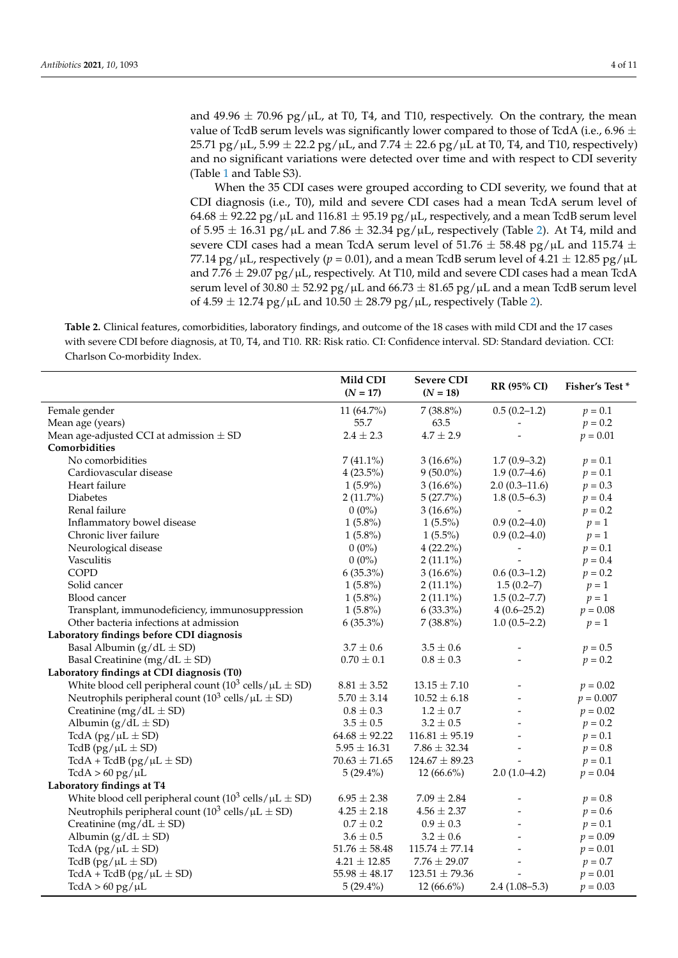and 49.96  $\pm$  70.96 pg/ $\mu$ L, at T0, T4, and T10, respectively. On the contrary, the mean value of TcdB serum levels was significantly lower compared to those of TcdA (i.e., 6.96  $\pm$  $25.71$  pg/ $\mu$ L,  $5.99 \pm 22.2$  pg/ $\mu$ L, and  $7.74 \pm 22.6$  pg/ $\mu$ L at T0, T4, and T10, respectively) and no significant variations were detected over time and with respect to CDI severity (Table [1](#page-2-0) and Table S3).

When the 35 CDI cases were grouped according to CDI severity, we found that at CDI diagnosis (i.e., T0), mild and severe CDI cases had a mean TcdA serum level of  $64.68 \pm 92.22$  pg/ $\mu$ L and  $116.81 \pm 95.19$  pg/ $\mu$ L, respectively, and a mean TcdB serum level of 5.95  $\pm$  16.31 pg/ $\mu$ L and 7.86  $\pm$  32.34 pg/ $\mu$ L, respectively (Table [2\)](#page-3-0). At T4, mild and severe CDI cases had a mean TcdA serum level of 51.76  $\pm$  58.48 pg/ $\mu$ L and 115.74  $\pm$ 77.14 pg/ $\mu$ L, respectively ( $p = 0.01$ ), and a mean TcdB serum level of 4.21  $\pm$  12.85 pg/ $\mu$ L and 7.76  $\pm$  29.07 pg/ $\mu$ L, respectively. At T10, mild and severe CDI cases had a mean TcdA serum level of 30.80  $\pm$  52.92 pg/ $\mu$ L and 66.73  $\pm$  81.65 pg/ $\mu$ L and a mean TcdB serum level of 4.59  $\pm$  12.74 pg/ $\mu$ L and 10.50  $\pm$  28.79 pg/ $\mu$ L, respectively (Table [2\)](#page-3-0).

<span id="page-3-0"></span>**Table 2.** Clinical features, comorbidities, laboratory findings, and outcome of the 18 cases with mild CDI and the 17 cases with severe CDI before diagnosis, at T0, T4, and T10. RR: Risk ratio. CI: Confidence interval. SD: Standard deviation. CCI: Charlson Co-morbidity Index.

|                                                                                    | Mild CDI<br>$(N = 17)$ | <b>Severe CDI</b><br>$(N = 18)$ | <b>RR (95% CI)</b> | <b>Fisher's Test*</b> |
|------------------------------------------------------------------------------------|------------------------|---------------------------------|--------------------|-----------------------|
| Female gender                                                                      | 11 (64.7%)             | $7(38.8\%)$                     | $0.5(0.2-1.2)$     | $p = 0.1$             |
| Mean age (years)                                                                   | 55.7                   | 63.5                            |                    | $p = 0.2$             |
| Mean age-adjusted CCI at admission $\pm$ SD                                        | $2.4 \pm 2.3$          | $4.7 \pm 2.9$                   |                    | $p = 0.01$            |
| Comorbidities                                                                      |                        |                                 |                    |                       |
| No comorbidities                                                                   | $7(41.1\%)$            | $3(16.6\%)$                     | $1.7(0.9-3.2)$     | $p = 0.1$             |
| Cardiovascular disease                                                             | $4(23.5\%)$            | $9(50.0\%)$                     | $1.9(0.7-4.6)$     | $p = 0.1$             |
| Heart failure                                                                      | $1(5.9\%)$             | $3(16.6\%)$                     | $2.0(0.3-11.6)$    | $p = 0.3$             |
| <b>Diabetes</b>                                                                    | $2(11.7\%)$            | 5(27.7%)                        | $1.8(0.5-6.3)$     | $p = 0.4$             |
| Renal failure                                                                      | $0(0\%)$               | $3(16.6\%)$                     |                    | $p = 0.2$             |
| Inflammatory bowel disease                                                         | $1(5.8\%)$             | $1(5.5\%)$                      | $0.9(0.2 - 4.0)$   | $p=1$                 |
| Chronic liver failure                                                              | $1(5.8\%)$             | $1(5.5\%)$                      | $0.9(0.2 - 4.0)$   | $p=1$                 |
| Neurological disease                                                               | $0(0\%)$               | $4(22.2\%)$                     |                    | $p = 0.1$             |
| Vasculitis                                                                         | $0(0\%)$               | $2(11.1\%)$                     |                    | $p = 0.4$             |
| <b>COPD</b>                                                                        | $6(35.3\%)$            | $3(16.6\%)$                     | $0.6(0.3-1.2)$     | $p = 0.2$             |
| Solid cancer                                                                       | $1(5.8\%)$             | $2(11.1\%)$                     | $1.5(0.2-7)$       | $p=1$                 |
| Blood cancer                                                                       | $1(5.8\%)$             | $2(11.1\%)$                     | $1.5(0.2 - 7.7)$   | $p=1$                 |
| Transplant, immunodeficiency, immunosuppression                                    | $1(5.8\%)$             | $6(33.3\%)$                     | $4(0.6-25.2)$      | $p = 0.08$            |
| Other bacteria infections at admission                                             | $6(35.3\%)$            | $7(38.8\%)$                     | $1.0(0.5-2.2)$     | $p=1$                 |
| Laboratory findings before CDI diagnosis                                           |                        |                                 |                    |                       |
| Basal Albumin ( $g/dL \pm SD$ )                                                    | $3.7 \pm 0.6$          | $3.5\pm0.6$                     |                    | $p = 0.5$             |
| Basal Creatinine (mg/dL $\pm$ SD)                                                  | $0.70\pm0.1$           | $0.8\pm0.3$                     |                    | $p = 0.2$             |
| Laboratory findings at CDI diagnosis (T0)                                          |                        |                                 |                    |                       |
| White blood cell peripheral count $(10^3 \text{ cells}/\mu\text{L} \pm \text{SD})$ | $8.81 \pm 3.52$        | $13.15 \pm 7.10$                |                    | $p = 0.02$            |
| Neutrophils peripheral count $(10^3 \text{ cells}/\mu\text{L} \pm \text{SD})$      | $5.70 \pm 3.14$        | $10.52 \pm 6.18$                |                    | $p = 0.007$           |
| Creatinine (mg/dL $\pm$ SD)                                                        | $0.8 \pm 0.3$          | $1.2 \pm 0.7$                   |                    | $p = 0.02$            |
| Albumin $(g/dL \pm SD)$                                                            | $3.5\pm0.5$            | $3.2\pm0.5$                     |                    | $p = 0.2$             |
| TcdA (pg/ $\mu L \pm SD$ )                                                         | $64.68 \pm 92.22$      | $116.81 \pm 95.19$              |                    | $p = 0.1$             |
| TcdB (pg/ $\mu$ L $\pm$ SD)                                                        | $5.95 \pm 16.31$       | $7.86 \pm 32.34$                |                    | $p = 0.8$             |
| TcdA + TcdB (pg/ $\mu$ L $\pm$ SD)                                                 | $70.63 \pm 71.65$      | $124.67 \pm 89.23$              |                    | $p = 0.1$             |
| $TcdA > 60$ pg/ $\mu$ L                                                            | $5(29.4\%)$            | $12(66.6\%)$                    | $2.0(1.0-4.2)$     | $p = 0.04$            |
| Laboratory findings at T4                                                          |                        |                                 |                    |                       |
| White blood cell peripheral count $(10^3 \text{ cells}/\mu\text{L} \pm \text{SD})$ | $6.95 \pm 2.38$        | $7.09 \pm 2.84$                 |                    | $p = 0.8$             |
| Neutrophils peripheral count $(10^3 \text{ cells}/\mu\text{L} \pm \text{SD})$      | $4.25 \pm 2.18$        | $4.56 \pm 2.37$                 |                    | $p = 0.6$             |
| Creatinine (mg/dL $\pm$ SD)                                                        | $0.7\pm0.2$            | $0.9\pm0.3$                     |                    | $p = 0.1$             |
| Albumin $(g/dL \pm SD)$                                                            | $3.6\pm0.5$            | $3.2 \pm 0.6$                   |                    | $p = 0.09$            |
| TcdA (pg/ $\mu L \pm SD$ )                                                         | $51.76 \pm 58.48$      | $115.74 \pm 77.14$              |                    | $p = 0.01$            |
| TcdB (pg/ $\mu$ L $\pm$ SD)                                                        | $4.21 \pm 12.85$       | $7.76 \pm 29.07$                |                    | $p = 0.7$             |
| TcdA + TcdB (pg/ $\mu$ L $\pm$ SD)                                                 | $55.98 \pm 48.17$      | $123.51 \pm 79.36$              |                    | $p = 0.01$            |
| $TcdA > 60 \text{ pg/µL}$                                                          | $5(29.4\%)$            | 12 $(66.6\%)$                   | $2.4(1.08-5.3)$    | $p = 0.03$            |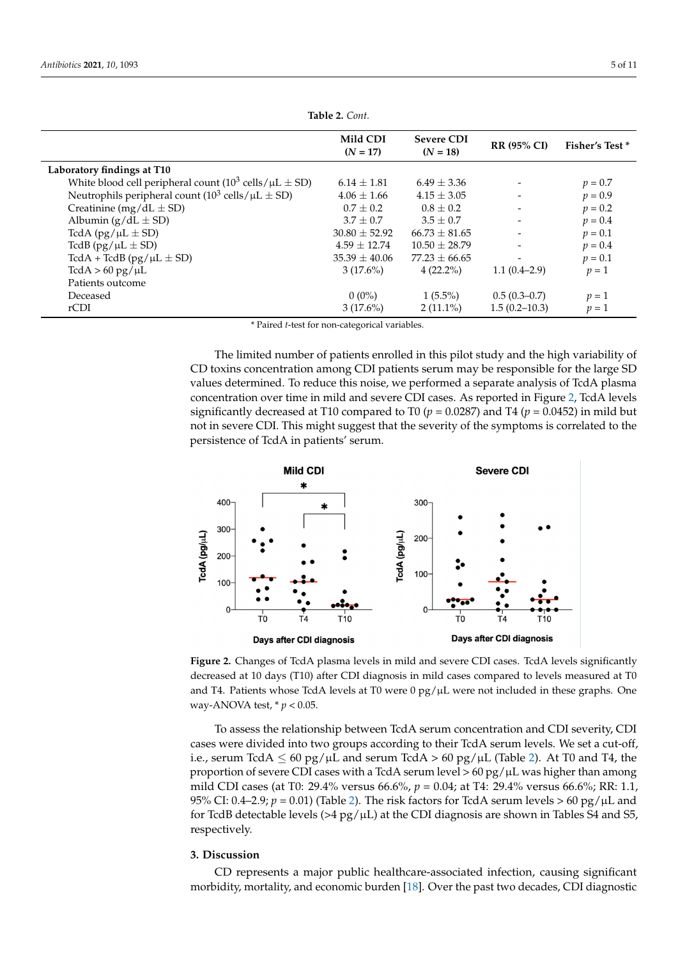|                                                                                    | Mild CDI<br>$(N = 17)$ | <b>Severe CDI</b><br>$(N = 18)$ | <b>RR (95% CI)</b>       | <b>Fisher's Test *</b> |
|------------------------------------------------------------------------------------|------------------------|---------------------------------|--------------------------|------------------------|
| Laboratory findings at T10                                                         |                        |                                 |                          |                        |
| White blood cell peripheral count $(10^3 \text{ cells}/\mu\text{L} \pm \text{SD})$ | $6.14 \pm 1.81$        | $6.49 \pm 3.36$                 |                          | $p = 0.7$              |
| Neutrophils peripheral count $(10^3 \text{ cells}/\mu\text{L} \pm \text{SD})$      | $4.06 \pm 1.66$        | $4.15 \pm 3.05$                 |                          | $p = 0.9$              |
| Creatinine (mg/dL $\pm$ SD)                                                        | $0.7 + 0.2$            | $0.8 \pm 0.2$                   |                          | $p = 0.2$              |
| Albumin $(g/dL \pm SD)$                                                            | $3.7 + 0.7$            | $3.5 \pm 0.7$                   |                          | $p = 0.4$              |
| TcdA $(pg/\mu L \pm SD)$                                                           | $30.80 \pm 52.92$      | $66.73 \pm 81.65$               |                          | $p = 0.1$              |
| TcdB (pg/ $\mu L \pm SD$ )                                                         | $4.59 \pm 12.74$       | $10.50 \pm 28.79$               |                          | $p = 0.4$              |
| TcdA + TcdB ( $pg/µL \pm SD$ )                                                     | $35.39 \pm 40.06$      | $77.23 \pm 66.65$               | $\overline{\phantom{a}}$ | $p = 0.1$              |
| $TcdA > 60 \text{ pg/µL}$                                                          | $3(17.6\%)$            | $4(22.2\%)$                     | $1.1(0.4-2.9)$           | $p=1$                  |
| Patients outcome                                                                   |                        |                                 |                          |                        |
| Deceased                                                                           | $0(0\%)$               | $1(5.5\%)$                      | $0.5(0.3-0.7)$           | $p=1$                  |
| rCDI                                                                               | $3(17.6\%)$            | $2(11.1\%)$                     | $1.5(0.2 - 10.3)$        | $p=1$                  |

**Table 2.** *Cont.*

\* Paired *t*-test for non-categorical variables.

The limited number of patients enrolled in this pilot study and the high variability of CD toxins concentration among CDI patients serum may be responsible for the large SD values determined. To reduce this noise, we performed a separate analysis of TcdA plasma concentration over time in mild and severe CDI cases. As reported in Figure [2,](#page-4-0) TcdA levels significantly decreased at T10 compared to T0 ( $p = 0.0287$ ) and T4 ( $p = 0.0452$ ) in mild but not in severe CDI. This might suggest that the severity of the symptoms is correlated to the persistence of TcdA in patients' serum.

<span id="page-4-0"></span>

**Figure 2.** Changes of TcdA plasma levels in mild and severe CDI cases. TcdA levels significantly  $\overline{P}$ decreased at 10 days (T10) after CDI diagnosis in mild cases compared to levels measured at T0 and T4. Patients whose TcdA levels at T0 were  $0$  pg/ $\mu$ L were not included in these graphs. One ANOVA test, \* *p* < 0.05. way-ANOVA test, \* *p* < 0.05.

To assess the relationship between TcdA serum concentration and CDI severity, CDI i.e., serum TcdA  $\leq 60$  pg/ $\mu$ L and serum TcdA > 60 pg/ $\mu$ L (Table [2\)](#page-3-0). At T0 and T4, the proportion of severe CDI cases with a TcdA serum level >  $60 \text{ pg/}\mu\text{L}$  was higher than among  $\frac{1}{2}$  mild CDI cases (at T0: 29.4% versus 66.6%, *p* = 0.04; at T4: 29.4% versus 66.6%; RR: 1.1, 95% CI: 0.4–2.9;  $p = 0.01$ ) (Table [2\)](#page-3-0). The risk factors for TcdA serum levels > 60 pg/ $\mu$ L and for TcdB detectable levels (>4 pg/ $\mu$ L) at the CDI diagnosis are shown in Tables S4 and S5,  $\text{Perfively}$ has been undervalued for the toxemia-that such a low number of toxemia-that such a low number of toxemia-that such a low number of toxemia-that such a low number of toxemia-that such a low number of toxemia-that such a low cases were divided into two groups according to their TcdA serum levels. We set a cut-off, respectively.

#### positive cases is due to the lack of sensitive toxin detection methods and possibly to the **3. Discussion**

CD represents a major public healthcare-associated infection, causing significant morbidity, mortality, and economic burden [\[18\]](#page-9-11). Over the past two decades, CDI diagnostic detection (LOD) of 1–10 ng/mL for  $\mathcal{L}$  and 10–100 pg/mL for TcdA and (iii) the TcdB  $\mathcal{L}$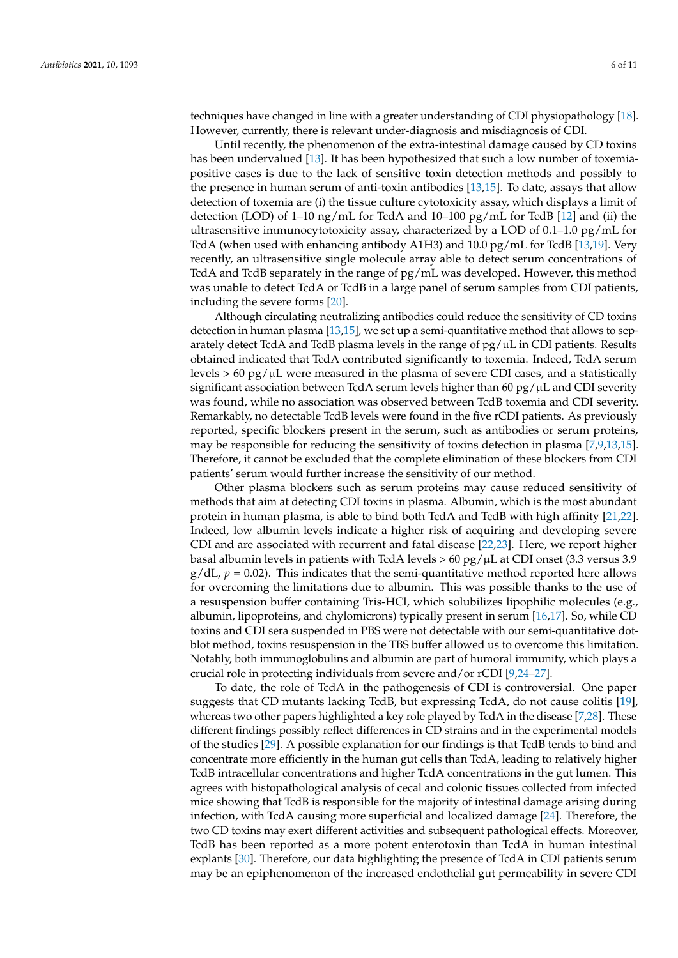techniques have changed in line with a greater understanding of CDI physiopathology [\[18\]](#page-9-11). However, currently, there is relevant under-diagnosis and misdiagnosis of CDI.

Until recently, the phenomenon of the extra-intestinal damage caused by CD toxins has been undervalued [\[13\]](#page-9-6). It has been hypothesized that such a low number of toxemiapositive cases is due to the lack of sensitive toxin detection methods and possibly to the presence in human serum of anti-toxin antibodies [\[13,](#page-9-6)[15\]](#page-9-8). To date, assays that allow detection of toxemia are (i) the tissue culture cytotoxicity assay, which displays a limit of detection (LOD) of 1–10 ng/mL for TcdA and 10–100 pg/mL for TcdB [\[12\]](#page-9-5) and (ii) the ultrasensitive immunocytotoxicity assay, characterized by a LOD of 0.1–1.0 pg/mL for TcdA (when used with enhancing antibody A1H3) and 10.0 pg/mL for TcdB [\[13,](#page-9-6)[19\]](#page-9-12). Very recently, an ultrasensitive single molecule array able to detect serum concentrations of TcdA and TcdB separately in the range of pg/mL was developed. However, this method was unable to detect TcdA or TcdB in a large panel of serum samples from CDI patients, including the severe forms [\[20\]](#page-9-13).

Although circulating neutralizing antibodies could reduce the sensitivity of CD toxins detection in human plasma [\[13](#page-9-6)[,15\]](#page-9-8), we set up a semi-quantitative method that allows to separately detect TcdA and TcdB plasma levels in the range of  $pg/µL$  in CDI patients. Results obtained indicated that TcdA contributed significantly to toxemia. Indeed, TcdA serum levels  $> 60 \text{ pg/µL}$  were measured in the plasma of severe CDI cases, and a statistically significant association between TcdA serum levels higher than 60 pg/ $\mu$ L and CDI severity was found, while no association was observed between TcdB toxemia and CDI severity. Remarkably, no detectable TcdB levels were found in the five rCDI patients. As previously reported, specific blockers present in the serum, such as antibodies or serum proteins, may be responsible for reducing the sensitivity of toxins detection in plasma [\[7,](#page-9-0)[9,](#page-9-2)[13,](#page-9-6)[15\]](#page-9-8). Therefore, it cannot be excluded that the complete elimination of these blockers from CDI patients' serum would further increase the sensitivity of our method.

Other plasma blockers such as serum proteins may cause reduced sensitivity of methods that aim at detecting CDI toxins in plasma. Albumin, which is the most abundant protein in human plasma, is able to bind both TcdA and TcdB with high affinity [\[21,](#page-9-14)[22\]](#page-9-15). Indeed, low albumin levels indicate a higher risk of acquiring and developing severe CDI and are associated with recurrent and fatal disease [\[22](#page-9-15)[,23\]](#page-9-16). Here, we report higher basal albumin levels in patients with TcdA levels  $> 60 \text{ pg/µL}$  at CDI onset (3.3 versus 3.9  $g/dL$ ,  $p = 0.02$ ). This indicates that the semi-quantitative method reported here allows for overcoming the limitations due to albumin. This was possible thanks to the use of a resuspension buffer containing Tris-HCl, which solubilizes lipophilic molecules (e.g., albumin, lipoproteins, and chylomicrons) typically present in serum [\[16,](#page-9-9)[17\]](#page-9-10). So, while CD toxins and CDI sera suspended in PBS were not detectable with our semi-quantitative dotblot method, toxins resuspension in the TBS buffer allowed us to overcome this limitation. Notably, both immunoglobulins and albumin are part of humoral immunity, which plays a crucial role in protecting individuals from severe and/or rCDI [\[9,](#page-9-2)[24–](#page-9-17)[27\]](#page-9-18).

To date, the role of TcdA in the pathogenesis of CDI is controversial. One paper suggests that CD mutants lacking TcdB, but expressing TcdA, do not cause colitis [\[19\]](#page-9-12), whereas two other papers highlighted a key role played by TcdA in the disease [\[7,](#page-9-0)[28\]](#page-9-19). These different findings possibly reflect differences in CD strains and in the experimental models of the studies [\[29\]](#page-9-20). A possible explanation for our findings is that TcdB tends to bind and concentrate more efficiently in the human gut cells than TcdA, leading to relatively higher TcdB intracellular concentrations and higher TcdA concentrations in the gut lumen. This agrees with histopathological analysis of cecal and colonic tissues collected from infected mice showing that TcdB is responsible for the majority of intestinal damage arising during infection, with TcdA causing more superficial and localized damage [\[24\]](#page-9-17). Therefore, the two CD toxins may exert different activities and subsequent pathological effects. Moreover, TcdB has been reported as a more potent enterotoxin than TcdA in human intestinal explants [\[30\]](#page-9-21). Therefore, our data highlighting the presence of TcdA in CDI patients serum may be an epiphenomenon of the increased endothelial gut permeability in severe CDI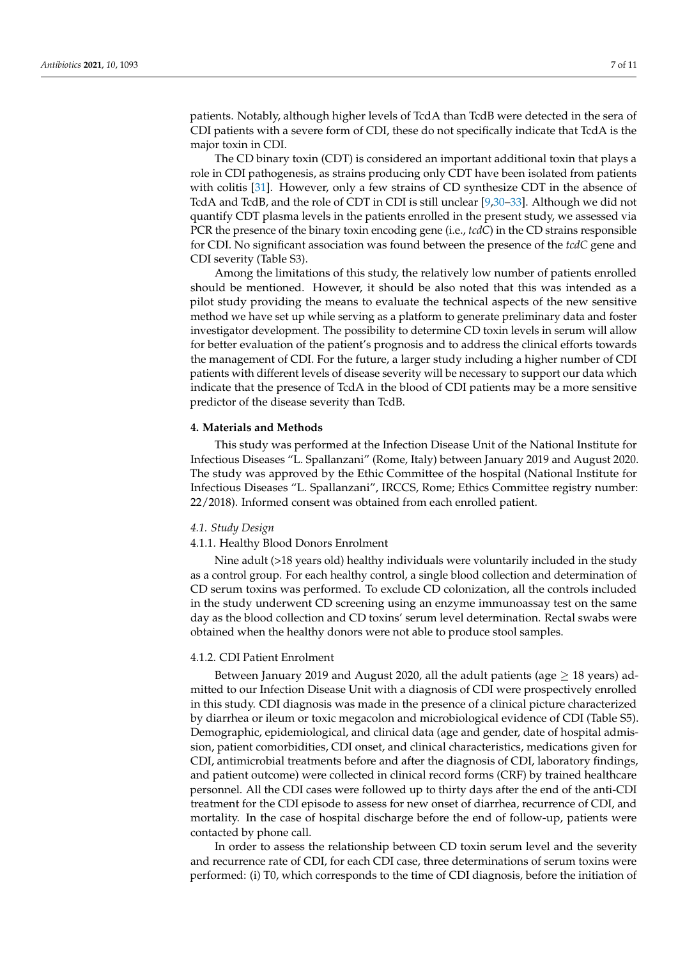patients. Notably, although higher levels of TcdA than TcdB were detected in the sera of CDI patients with a severe form of CDI, these do not specifically indicate that TcdA is the major toxin in CDI.

The CD binary toxin (CDT) is considered an important additional toxin that plays a role in CDI pathogenesis, as strains producing only CDT have been isolated from patients with colitis [\[31\]](#page-9-22). However, only a few strains of CD synthesize CDT in the absence of TcdA and TcdB, and the role of CDT in CDI is still unclear [\[9](#page-9-2)[,30](#page-9-21)[–33\]](#page-10-0). Although we did not quantify CDT plasma levels in the patients enrolled in the present study, we assessed via PCR the presence of the binary toxin encoding gene (i.e., *tcdC*) in the CD strains responsible for CDI. No significant association was found between the presence of the *tcdC* gene and CDI severity (Table S3).

Among the limitations of this study, the relatively low number of patients enrolled should be mentioned. However, it should be also noted that this was intended as a pilot study providing the means to evaluate the technical aspects of the new sensitive method we have set up while serving as a platform to generate preliminary data and foster investigator development. The possibility to determine CD toxin levels in serum will allow for better evaluation of the patient's prognosis and to address the clinical efforts towards the management of CDI. For the future, a larger study including a higher number of CDI patients with different levels of disease severity will be necessary to support our data which indicate that the presence of TcdA in the blood of CDI patients may be a more sensitive predictor of the disease severity than TcdB.

#### **4. Materials and Methods**

This study was performed at the Infection Disease Unit of the National Institute for Infectious Diseases "L. Spallanzani" (Rome, Italy) between January 2019 and August 2020. The study was approved by the Ethic Committee of the hospital (National Institute for Infectious Diseases "L. Spallanzani", IRCCS, Rome; Ethics Committee registry number: 22/2018). Informed consent was obtained from each enrolled patient.

#### *4.1. Study Design*

#### 4.1.1. Healthy Blood Donors Enrolment

Nine adult (>18 years old) healthy individuals were voluntarily included in the study as a control group. For each healthy control, a single blood collection and determination of CD serum toxins was performed. To exclude CD colonization, all the controls included in the study underwent CD screening using an enzyme immunoassay test on the same day as the blood collection and CD toxins' serum level determination. Rectal swabs were obtained when the healthy donors were not able to produce stool samples.

#### 4.1.2. CDI Patient Enrolment

Between January 2019 and August 2020, all the adult patients (age  $\geq$  18 years) admitted to our Infection Disease Unit with a diagnosis of CDI were prospectively enrolled in this study. CDI diagnosis was made in the presence of a clinical picture characterized by diarrhea or ileum or toxic megacolon and microbiological evidence of CDI (Table S5). Demographic, epidemiological, and clinical data (age and gender, date of hospital admission, patient comorbidities, CDI onset, and clinical characteristics, medications given for CDI, antimicrobial treatments before and after the diagnosis of CDI, laboratory findings, and patient outcome) were collected in clinical record forms (CRF) by trained healthcare personnel. All the CDI cases were followed up to thirty days after the end of the anti-CDI treatment for the CDI episode to assess for new onset of diarrhea, recurrence of CDI, and mortality. In the case of hospital discharge before the end of follow-up, patients were contacted by phone call.

In order to assess the relationship between CD toxin serum level and the severity and recurrence rate of CDI, for each CDI case, three determinations of serum toxins were performed: (i) T0, which corresponds to the time of CDI diagnosis, before the initiation of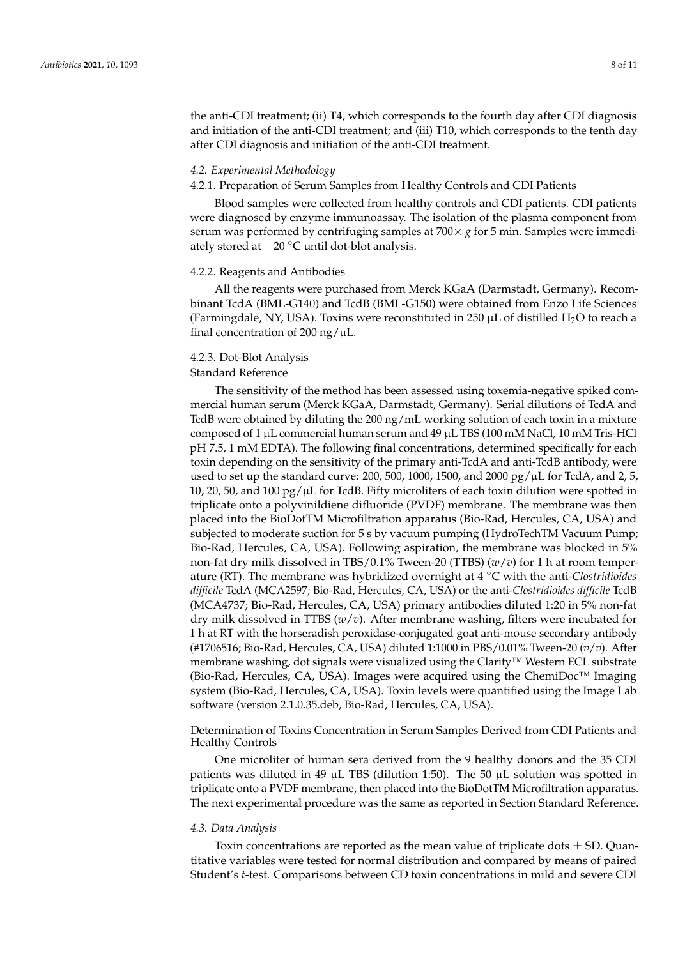the anti-CDI treatment; (ii) T4, which corresponds to the fourth day after CDI diagnosis and initiation of the anti-CDI treatment; and (iii) T10, which corresponds to the tenth day after CDI diagnosis and initiation of the anti-CDI treatment.

#### *4.2. Experimental Methodology*

#### 4.2.1. Preparation of Serum Samples from Healthy Controls and CDI Patients

Blood samples were collected from healthy controls and CDI patients. CDI patients were diagnosed by enzyme immunoassay. The isolation of the plasma component from serum was performed by centrifuging samples at 700× *g* for 5 min. Samples were immediately stored at −20 ◦C until dot-blot analysis.

#### 4.2.2. Reagents and Antibodies

All the reagents were purchased from Merck KGaA (Darmstadt, Germany). Recombinant TcdA (BML-G140) and TcdB (BML-G150) were obtained from Enzo Life Sciences (Farmingdale, NY, USA). Toxins were reconstituted in 250  $\mu$ L of distilled H<sub>2</sub>O to reach a final concentration of 200 ng/ $\mu$ L.

#### 4.2.3. Dot-Blot Analysis

#### Standard Reference

The sensitivity of the method has been assessed using toxemia-negative spiked commercial human serum (Merck KGaA, Darmstadt, Germany). Serial dilutions of TcdA and TcdB were obtained by diluting the 200 ng/mL working solution of each toxin in a mixture composed of 1 µL commercial human serum and 49 µL TBS (100 mM NaCl, 10 mM Tris-HCl pH 7.5, 1 mM EDTA). The following final concentrations, determined specifically for each toxin depending on the sensitivity of the primary anti-TcdA and anti-TcdB antibody, were used to set up the standard curve: 200, 500, 1000, 1500, and 2000 pg/ $\mu$ L for TcdA, and 2, 5, 10, 20, 50, and 100  $pg/\mu L$  for TcdB. Fifty microliters of each toxin dilution were spotted in triplicate onto a polyvinildiene difluoride (PVDF) membrane. The membrane was then placed into the BioDotTM Microfiltration apparatus (Bio-Rad, Hercules, CA, USA) and subjected to moderate suction for 5 s by vacuum pumping (HydroTechTM Vacuum Pump; Bio-Rad, Hercules, CA, USA). Following aspiration, the membrane was blocked in 5% non-fat dry milk dissolved in TBS/0.1% Tween-20 (TTBS) (*w*/*v*) for 1 h at room temperature (RT). The membrane was hybridized overnight at 4 ◦C with the anti-*Clostridioides difficile* TcdA (MCA2597; Bio-Rad, Hercules, CA, USA) or the anti-*Clostridioides difficile* TcdB (MCA4737; Bio-Rad, Hercules, CA, USA) primary antibodies diluted 1:20 in 5% non-fat dry milk dissolved in TTBS (*w*/*v*). After membrane washing, filters were incubated for 1 h at RT with the horseradish peroxidase-conjugated goat anti-mouse secondary antibody (#1706516; Bio-Rad, Hercules, CA, USA) diluted 1:1000 in PBS/0.01% Tween-20 (*v*/*v*). After membrane washing, dot signals were visualized using the Clarity™ Western ECL substrate (Bio-Rad, Hercules, CA, USA). Images were acquired using the ChemiDoc<sup>™</sup> Imaging system (Bio-Rad, Hercules, CA, USA). Toxin levels were quantified using the Image Lab software (version 2.1.0.35.deb, Bio-Rad, Hercules, CA, USA).

#### Determination of Toxins Concentration in Serum Samples Derived from CDI Patients and Healthy Controls

One microliter of human sera derived from the 9 healthy donors and the 35 CDI patients was diluted in 49  $\mu$ L TBS (dilution 1:50). The 50  $\mu$ L solution was spotted in triplicate onto a PVDF membrane, then placed into the BioDotTM Microfiltration apparatus. The next experimental procedure was the same as reported in Section Standard Reference.

#### *4.3. Data Analysis*

Toxin concentrations are reported as the mean value of triplicate dots  $\pm$  SD. Quantitative variables were tested for normal distribution and compared by means of paired Student's *t*-test. Comparisons between CD toxin concentrations in mild and severe CDI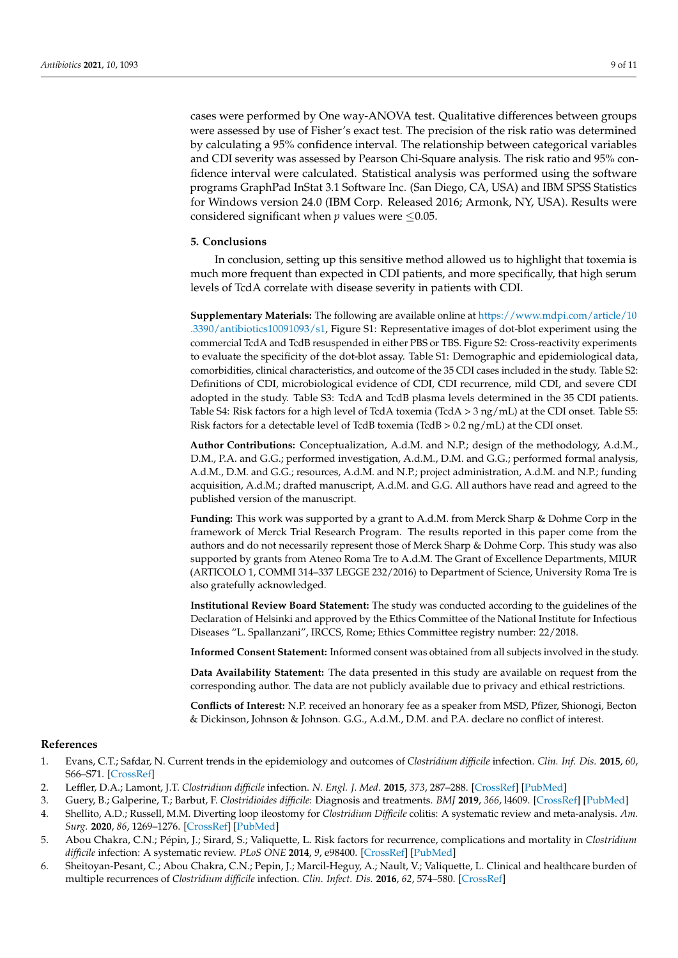cases were performed by One way-ANOVA test. Qualitative differences between groups were assessed by use of Fisher's exact test. The precision of the risk ratio was determined by calculating a 95% confidence interval. The relationship between categorical variables and CDI severity was assessed by Pearson Chi-Square analysis. The risk ratio and 95% confidence interval were calculated. Statistical analysis was performed using the software programs GraphPad InStat 3.1 Software Inc. (San Diego, CA, USA) and IBM SPSS Statistics for Windows version 24.0 (IBM Corp. Released 2016; Armonk, NY, USA). Results were considered significant when  $p$  values were  $\leq 0.05$ .

#### **5. Conclusions**

In conclusion, setting up this sensitive method allowed us to highlight that toxemia is much more frequent than expected in CDI patients, and more specifically, that high serum levels of TcdA correlate with disease severity in patients with CDI.

**Supplementary Materials:** The following are available online at [https://www.mdpi.com/article/10](https://www.mdpi.com/article/10.3390/antibiotics10091093/s1) [.3390/antibiotics10091093/s1,](https://www.mdpi.com/article/10.3390/antibiotics10091093/s1) Figure S1: Representative images of dot-blot experiment using the commercial TcdA and TcdB resuspended in either PBS or TBS. Figure S2: Cross-reactivity experiments to evaluate the specificity of the dot-blot assay. Table S1: Demographic and epidemiological data, comorbidities, clinical characteristics, and outcome of the 35 CDI cases included in the study. Table S2: Definitions of CDI, microbiological evidence of CDI, CDI recurrence, mild CDI, and severe CDI adopted in the study. Table S3: TcdA and TcdB plasma levels determined in the 35 CDI patients. Table S4: Risk factors for a high level of TcdA toxemia (TcdA  $>$  3 ng/mL) at the CDI onset. Table S5: Risk factors for a detectable level of TcdB toxemia (TcdB  $> 0.2$  ng/mL) at the CDI onset.

**Author Contributions:** Conceptualization, A.d.M. and N.P.; design of the methodology, A.d.M., D.M., P.A. and G.G.; performed investigation, A.d.M., D.M. and G.G.; performed formal analysis, A.d.M., D.M. and G.G.; resources, A.d.M. and N.P.; project administration, A.d.M. and N.P.; funding acquisition, A.d.M.; drafted manuscript, A.d.M. and G.G. All authors have read and agreed to the published version of the manuscript.

**Funding:** This work was supported by a grant to A.d.M. from Merck Sharp & Dohme Corp in the framework of Merck Trial Research Program. The results reported in this paper come from the authors and do not necessarily represent those of Merck Sharp & Dohme Corp. This study was also supported by grants from Ateneo Roma Tre to A.d.M. The Grant of Excellence Departments, MIUR (ARTICOLO 1, COMMI 314–337 LEGGE 232/2016) to Department of Science, University Roma Tre is also gratefully acknowledged.

**Institutional Review Board Statement:** The study was conducted according to the guidelines of the Declaration of Helsinki and approved by the Ethics Committee of the National Institute for Infectious Diseases "L. Spallanzani", IRCCS, Rome; Ethics Committee registry number: 22/2018.

**Informed Consent Statement:** Informed consent was obtained from all subjects involved in the study.

**Data Availability Statement:** The data presented in this study are available on request from the corresponding author. The data are not publicly available due to privacy and ethical restrictions.

**Conflicts of Interest:** N.P. received an honorary fee as a speaker from MSD, Pfizer, Shionogi, Becton & Dickinson, Johnson & Johnson. G.G., A.d.M., D.M. and P.A. declare no conflict of interest.

#### **References**

- <span id="page-8-0"></span>1. Evans, C.T.; Safdar, N. Current trends in the epidemiology and outcomes of *Clostridium difficile* infection. *Clin. Inf. Dis.* **2015**, *60*, S66–S71. [\[CrossRef\]](http://doi.org/10.1093/cid/civ140)
- <span id="page-8-5"></span>2. Leffler, D.A.; Lamont, J.T. *Clostridium difficile* infection. *N. Engl. J. Med.* **2015**, *373*, 287–288. [\[CrossRef\]](http://doi.org/10.1056/NEJMra1403772) [\[PubMed\]](http://www.ncbi.nlm.nih.gov/pubmed/26176396)
- <span id="page-8-1"></span>3. Guery, B.; Galperine, T.; Barbut, F. *Clostridioides difficile*: Diagnosis and treatments. *BMJ* **2019**, *366*, l4609. [\[CrossRef\]](http://doi.org/10.1136/bmj.l4609) [\[PubMed\]](http://www.ncbi.nlm.nih.gov/pubmed/31431428)
- <span id="page-8-2"></span>4. Shellito, A.D.; Russell, M.M. Diverting loop ileostomy for *Clostridium Difficile* colitis: A systematic review and meta-analysis. *Am. Surg.* **2020**, *86*, 1269–1276. [\[CrossRef\]](http://doi.org/10.1177/0003134820964213) [\[PubMed\]](http://www.ncbi.nlm.nih.gov/pubmed/33284670)
- <span id="page-8-3"></span>5. Abou Chakra, C.N.; Pépin, J.; Sirard, S.; Valiquette, L. Risk factors for recurrence, complications and mortality in *Clostridium difficile* infection: A systematic review. *PLoS ONE* **2014**, *9*, e98400. [\[CrossRef\]](http://doi.org/10.1371/journal.pone.0098400) [\[PubMed\]](http://www.ncbi.nlm.nih.gov/pubmed/24897375)
- <span id="page-8-4"></span>6. Sheitoyan-Pesant, C.; Abou Chakra, C.N.; Pepin, J.; Marcil-Heguy, A.; Nault, V.; Valiquette, L. Clinical and healthcare burden of multiple recurrences of *Clostridium difficile* infection. *Clin. Infect. Dis.* **2016**, *62*, 574–580. [\[CrossRef\]](http://doi.org/10.1093/cid/civ958)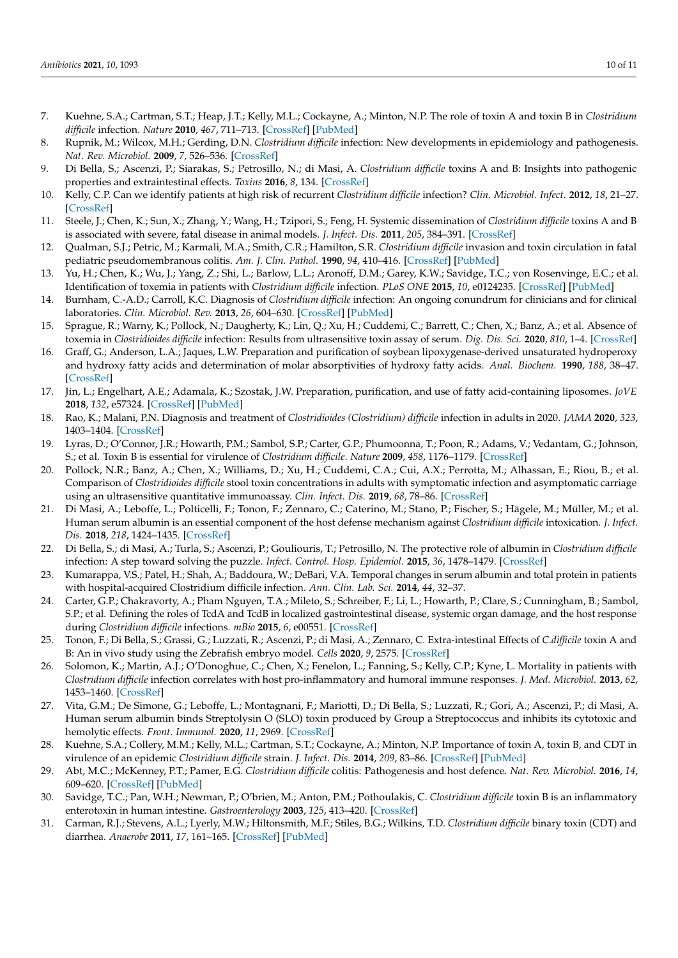- <span id="page-9-0"></span>7. Kuehne, S.A.; Cartman, S.T.; Heap, J.T.; Kelly, M.L.; Cockayne, A.; Minton, N.P. The role of toxin A and toxin B in *Clostridium difficile* infection. *Nature* **2010**, *467*, 711–713. [\[CrossRef\]](http://doi.org/10.1038/nature09397) [\[PubMed\]](http://www.ncbi.nlm.nih.gov/pubmed/20844489)
- <span id="page-9-1"></span>8. Rupnik, M.; Wilcox, M.H.; Gerding, D.N. *Clostridium difficile* infection: New developments in epidemiology and pathogenesis. *Nat. Rev. Microbiol.* **2009**, *7*, 526–536. [\[CrossRef\]](http://doi.org/10.1038/nrmicro2164)
- <span id="page-9-2"></span>9. Di Bella, S.; Ascenzi, P.; Siarakas, S.; Petrosillo, N.; di Masi, A. *Clostridium difficile* toxins A and B: Insights into pathogenic properties and extraintestinal effects. *Toxins* **2016**, *8*, 134. [\[CrossRef\]](http://doi.org/10.3390/toxins8050134)
- <span id="page-9-3"></span>10. Kelly, C.P. Can we identify patients at high risk of recurrent *Clostridium difficile* infection? *Clin. Microbiol. Infect.* **2012**, *18*, 21–27. [\[CrossRef\]](http://doi.org/10.1111/1469-0691.12046)
- <span id="page-9-4"></span>11. Steele, J.; Chen, K.; Sun, X.; Zhang, Y.; Wang, H.; Tzipori, S.; Feng, H. Systemic dissemination of *Clostridium difficile* toxins A and B is associated with severe, fatal disease in animal models. *J. Infect. Dis.* **2011**, *205*, 384–391. [\[CrossRef\]](http://doi.org/10.1093/infdis/jir748)
- <span id="page-9-5"></span>12. Qualman, S.J.; Petric, M.; Karmali, M.A.; Smith, C.R.; Hamilton, S.R. *Clostridium difficile* invasion and toxin circulation in fatal pediatric pseudomembranous colitis. *Am. J. Clin. Pathol.* **1990**, *94*, 410–416. [\[CrossRef\]](http://doi.org/10.1093/ajcp/94.4.410) [\[PubMed\]](http://www.ncbi.nlm.nih.gov/pubmed/1699407)
- <span id="page-9-6"></span>13. Yu, H.; Chen, K.; Wu, J.; Yang, Z.; Shi, L.; Barlow, L.L.; Aronoff, D.M.; Garey, K.W.; Savidge, T.C.; von Rosenvinge, E.C.; et al. Identification of toxemia in patients with *Clostridium difficile* infection. *PLoS ONE* **2015**, *10*, e0124235. [\[CrossRef\]](http://doi.org/10.1371/journal.pone.0124235) [\[PubMed\]](http://www.ncbi.nlm.nih.gov/pubmed/25885671)
- <span id="page-9-7"></span>14. Burnham, C.-A.D.; Carroll, K.C. Diagnosis of *Clostridium difficile* infection: An ongoing conundrum for clinicians and for clinical laboratories. *Clin. Microbiol. Rev.* **2013**, *26*, 604–630. [\[CrossRef\]](http://doi.org/10.1128/CMR.00016-13) [\[PubMed\]](http://www.ncbi.nlm.nih.gov/pubmed/23824374)
- <span id="page-9-8"></span>15. Sprague, R.; Warny, K.; Pollock, N.; Daugherty, K.; Lin, Q.; Xu, H.; Cuddemi, C.; Barrett, C.; Chen, X.; Banz, A.; et al. Absence of toxemia in *Clostridioides difficile* infection: Results from ultrasensitive toxin assay of serum. *Dig. Dis. Sci.* **2020**, *810*, 1–4. [\[CrossRef\]](http://doi.org/10.1007/s10620-020-06683-8)
- <span id="page-9-9"></span>16. Graff, G.; Anderson, L.A.; Jaques, L.W. Preparation and purification of soybean lipoxygenase-derived unsaturated hydroperoxy and hydroxy fatty acids and determination of molar absorptivities of hydroxy fatty acids. *Anal. Biochem.* **1990**, *188*, 38–47. [\[CrossRef\]](http://doi.org/10.1016/0003-2697(90)90525-E)
- <span id="page-9-10"></span>17. Jin, L.; Engelhart, A.E.; Adamala, K.; Szostak, J.W. Preparation, purification, and use of fatty acid-containing liposomes. *JoVE* **2018**, *132*, e57324. [\[CrossRef\]](http://doi.org/10.3791/57324) [\[PubMed\]](http://www.ncbi.nlm.nih.gov/pubmed/29553563)
- <span id="page-9-11"></span>18. Rao, K.; Malani, P.N. Diagnosis and treatment of *Clostridioides (Clostridium) difficile* infection in adults in 2020. *JAMA* **2020**, *323*, 1403–1404. [\[CrossRef\]](http://doi.org/10.1001/jama.2019.3849)
- <span id="page-9-12"></span>19. Lyras, D.; O'Connor, J.R.; Howarth, P.M.; Sambol, S.P.; Carter, G.P.; Phumoonna, T.; Poon, R.; Adams, V.; Vedantam, G.; Johnson, S.; et al. Toxin B is essential for virulence of *Clostridium difficile*. *Nature* **2009**, *458*, 1176–1179. [\[CrossRef\]](http://doi.org/10.1038/nature07822)
- <span id="page-9-13"></span>20. Pollock, N.R.; Banz, A.; Chen, X.; Williams, D.; Xu, H.; Cuddemi, C.A.; Cui, A.X.; Perrotta, M.; Alhassan, E.; Riou, B.; et al. Comparison of *Clostridioides difficile* stool toxin concentrations in adults with symptomatic infection and asymptomatic carriage using an ultrasensitive quantitative immunoassay. *Clin. Infect. Dis.* **2019**, *68*, 78–86. [\[CrossRef\]](http://doi.org/10.1093/cid/ciy415)
- <span id="page-9-14"></span>21. Di Masi, A.; Leboffe, L.; Polticelli, F.; Tonon, F.; Zennaro, C.; Caterino, M.; Stano, P.; Fischer, S.; Hägele, M.; Müller, M.; et al. Human serum albumin is an essential component of the host defense mechanism against *Clostridium difficile* intoxication. *J. Infect. Dis.* **2018**, *218*, 1424–1435. [\[CrossRef\]](http://doi.org/10.1093/infdis/jiy338)
- <span id="page-9-15"></span>22. Di Bella, S.; di Masi, A.; Turla, S.; Ascenzi, P.; Gouliouris, T.; Petrosillo, N. The protective role of albumin in *Clostridium difficile* infection: A step toward solving the puzzle. *Infect. Control. Hosp. Epidemiol.* **2015**, *36*, 1478–1479. [\[CrossRef\]](http://doi.org/10.1017/ice.2015.221)
- <span id="page-9-16"></span>23. Kumarappa, V.S.; Patel, H.; Shah, A.; Baddoura, W.; DeBari, V.A. Temporal changes in serum albumin and total protein in patients with hospital-acquired Clostridium difficile infection. *Ann. Clin. Lab. Sci.* **2014**, *44*, 32–37.
- <span id="page-9-17"></span>24. Carter, G.P.; Chakravorty, A.; Pham Nguyen, T.A.; Mileto, S.; Schreiber, F.; Li, L.; Howarth, P.; Clare, S.; Cunningham, B.; Sambol, S.P.; et al. Defining the roles of TcdA and TcdB in localized gastrointestinal disease, systemic organ damage, and the host response during *Clostridium difficile* infections. *mBio* **2015**, *6*, e00551. [\[CrossRef\]](http://doi.org/10.1128/mBio.00551-15)
- 25. Tonon, F.; Di Bella, S.; Grassi, G.; Luzzati, R.; Ascenzi, P.; di Masi, A.; Zennaro, C. Extra-intestinal Effects of *C.difficile* toxin A and B: An in vivo study using the Zebrafish embryo model. *Cells* **2020**, *9*, 2575. [\[CrossRef\]](http://doi.org/10.3390/cells9122575)
- 26. Solomon, K.; Martin, A.J.; O'Donoghue, C.; Chen, X.; Fenelon, L.; Fanning, S.; Kelly, C.P.; Kyne, L. Mortality in patients with *Clostridium difficile* infection correlates with host pro-inflammatory and humoral immune responses. *J. Med. Microbiol.* **2013**, *62*, 1453–1460. [\[CrossRef\]](http://doi.org/10.1099/jmm.0.058479-0)
- <span id="page-9-18"></span>27. Vita, G.M.; De Simone, G.; Leboffe, L.; Montagnani, F.; Mariotti, D.; Di Bella, S.; Luzzati, R.; Gori, A.; Ascenzi, P.; di Masi, A. Human serum albumin binds Streptolysin O (SLO) toxin produced by Group a Streptococcus and inhibits its cytotoxic and hemolytic effects. *Front. Immunol.* **2020**, *11*, 2969. [\[CrossRef\]](http://doi.org/10.3389/fimmu.2020.507092)
- <span id="page-9-19"></span>28. Kuehne, S.A.; Collery, M.M.; Kelly, M.L.; Cartman, S.T.; Cockayne, A.; Minton, N.P. Importance of toxin A, toxin B, and CDT in virulence of an epidemic *Clostridium difficile* strain. *J. Infect. Dis.* **2014**, *209*, 83–86. [\[CrossRef\]](http://doi.org/10.1093/infdis/jit426) [\[PubMed\]](http://www.ncbi.nlm.nih.gov/pubmed/23935202)
- <span id="page-9-20"></span>29. Abt, M.C.; McKenney, P.T.; Pamer, E.G. *Clostridium difficile* colitis: Pathogenesis and host defence. *Nat. Rev. Microbiol.* **2016**, *14*, 609–620. [\[CrossRef\]](http://doi.org/10.1038/nrmicro.2016.108) [\[PubMed\]](http://www.ncbi.nlm.nih.gov/pubmed/27573580)
- <span id="page-9-21"></span>30. Savidge, T.C.; Pan, W.H.; Newman, P.; O'brien, M.; Anton, P.M.; Pothoulakis, C. *Clostridium difficile* toxin B is an inflammatory enterotoxin in human intestine. *Gastroenterology* **2003**, *125*, 413–420. [\[CrossRef\]](http://doi.org/10.1016/S0016-5085(03)00902-8)
- <span id="page-9-22"></span>31. Carman, R.J.; Stevens, A.L.; Lyerly, M.W.; Hiltonsmith, M.F.; Stiles, B.G.; Wilkins, T.D. *Clostridium difficile* binary toxin (CDT) and diarrhea. *Anaerobe* **2011**, *17*, 161–165. [\[CrossRef\]](http://doi.org/10.1016/j.anaerobe.2011.02.005) [\[PubMed\]](http://www.ncbi.nlm.nih.gov/pubmed/21376825)